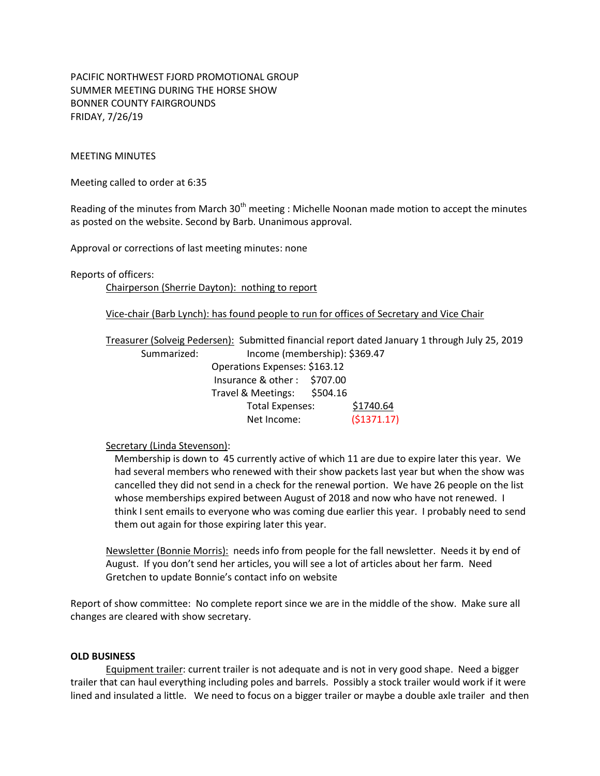PACIFIC NORTHWEST FJORD PROMOTIONAL GROUP SUMMER MEETING DURING THE HORSE SHOW BONNER COUNTY FAIRGROUNDS FRIDAY, 7/26/19

## MEETING MINUTES

Meeting called to order at 6:35

Reading of the minutes from March  $30<sup>th</sup>$  meeting : Michelle Noonan made motion to accept the minutes as posted on the website. Second by Barb. Unanimous approval.

Approval or corrections of last meeting minutes: none

Reports of officers:

Chairperson (Sherrie Dayton): nothing to report

Vice-chair (Barb Lynch): has found people to run for offices of Secretary and Vice Chair

Treasurer (Solveig Pedersen): Submitted financial report dated January 1 through July 25, 2019 Summarized: Income (membership): \$369.47

| Operations Expenses: \$163.12 |          |             |
|-------------------------------|----------|-------------|
| Insurance & other: \$707.00   |          |             |
| Travel & Meetings:            | \$504.16 |             |
| Total Expenses:               |          | \$1740.64   |
| Net Income:                   |          | (\$1371.17) |

Secretary (Linda Stevenson):

Membership is down to 45 currently active of which 11 are due to expire later this year. We had several members who renewed with their show packets last year but when the show was cancelled they did not send in a check for the renewal portion. We have 26 people on the list whose memberships expired between August of 2018 and now who have not renewed. I think I sent emails to everyone who was coming due earlier this year. I probably need to send them out again for those expiring later this year.

Newsletter (Bonnie Morris): needs info from people for the fall newsletter. Needs it by end of August. If you don't send her articles, you will see a lot of articles about her farm. Need Gretchen to update Bonnie's contact info on website

Report of show committee: No complete report since we are in the middle of the show. Make sure all changes are cleared with show secretary.

## **OLD BUSINESS**

Equipment trailer: current trailer is not adequate and is not in very good shape. Need a bigger trailer that can haul everything including poles and barrels. Possibly a stock trailer would work if it were lined and insulated a little. We need to focus on a bigger trailer or maybe a double axle trailer and then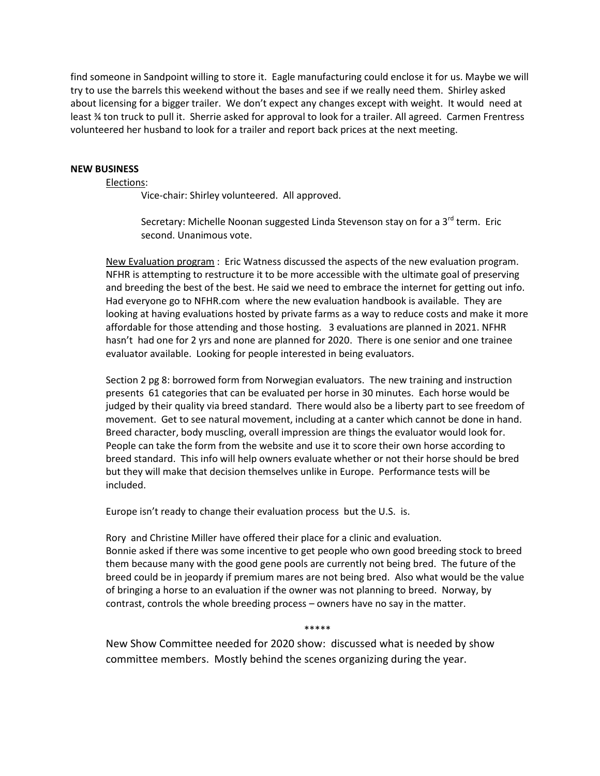find someone in Sandpoint willing to store it. Eagle manufacturing could enclose it for us. Maybe we will try to use the barrels this weekend without the bases and see if we really need them. Shirley asked about licensing for a bigger trailer. We don't expect any changes except with weight. It would need at least ¾ ton truck to pull it. Sherrie asked for approval to look for a trailer. All agreed. Carmen Frentress volunteered her husband to look for a trailer and report back prices at the next meeting.

## **NEW BUSINESS**

Elections:

Vice-chair: Shirley volunteered. All approved.

Secretary: Michelle Noonan suggested Linda Stevenson stay on for a 3<sup>rd</sup> term. Eric second. Unanimous vote.

New Evaluation program : Eric Watness discussed the aspects of the new evaluation program. NFHR is attempting to restructure it to be more accessible with the ultimate goal of preserving and breeding the best of the best. He said we need to embrace the internet for getting out info. Had everyone go to NFHR.com where the new evaluation handbook is available. They are looking at having evaluations hosted by private farms as a way to reduce costs and make it more affordable for those attending and those hosting. 3 evaluations are planned in 2021. NFHR hasn't had one for 2 yrs and none are planned for 2020. There is one senior and one trainee evaluator available. Looking for people interested in being evaluators.

Section 2 pg 8: borrowed form from Norwegian evaluators. The new training and instruction presents 61 categories that can be evaluated per horse in 30 minutes. Each horse would be judged by their quality via breed standard. There would also be a liberty part to see freedom of movement. Get to see natural movement, including at a canter which cannot be done in hand. Breed character, body muscling, overall impression are things the evaluator would look for. People can take the form from the website and use it to score their own horse according to breed standard. This info will help owners evaluate whether or not their horse should be bred but they will make that decision themselves unlike in Europe. Performance tests will be included.

Europe isn't ready to change their evaluation process but the U.S. is.

Rory and Christine Miller have offered their place for a clinic and evaluation. Bonnie asked if there was some incentive to get people who own good breeding stock to breed them because many with the good gene pools are currently not being bred. The future of the breed could be in jeopardy if premium mares are not being bred. Also what would be the value of bringing a horse to an evaluation if the owner was not planning to breed. Norway, by contrast, controls the whole breeding process – owners have no say in the matter.

\*\*\*\*\*

New Show Committee needed for 2020 show: discussed what is needed by show committee members. Mostly behind the scenes organizing during the year.